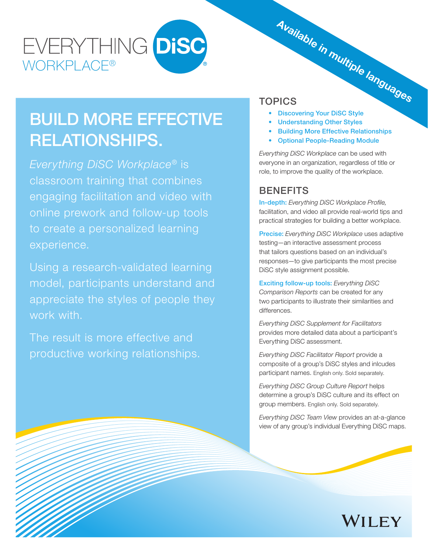# EVERYTHING DISC WORKPLACF®

## BUILD MORE EFFECTIVE RELATIONSHIPS.

*Everything DiSC Workplace*® is classroom training that combines engaging facilitation and video with online prework and follow-up tools to create a personalized learning experience.

Using a research-validated learning model, participants understand and appreciate the styles of people they work with.

The result is more effective and productive working relationships.

## TOPICS

- Discovering Your DiSC Style Available in multiple languages
- Understanding Other Styles
- Building More Effective Relationships
- Optional People-Reading Module

*Everything DiSC Workplace* can be used with everyone in an organization, regardless of title or role, to improve the quality of the workplace.

## **BENEFITS**

**In-depth:** Everything DiSC Workplace Profile, facilitation, and video all provide real-world tips and practical strategies for building a better workplace.

Precise: *Everything DiSC Workplace* uses adaptive testing—an interactive assessment process that tailors questions based on an individual's responses—to give participants the most precise DiSC style assignment possible.

Exciting follow-up tools: *Everything DiSC Comparison Reports* can be created for any two participants to illustrate their similarities and differences.

*Everything DiSC Supplement for Facilitators*  provides more detailed data about a participant's Everything DiSC assessment.

*Everything DiSC Facilitator Report* provide a composite of a group's DiSC styles and inlcudes participant names. English only. Sold separately.

*Everything DiSC Group Culture Report* helps determine a group's DiSC culture and its effect on group members. English only. Sold separately.

*Everything DiSC Team View* provides an at-a-glance view of any group's individual Everything DiSC maps.